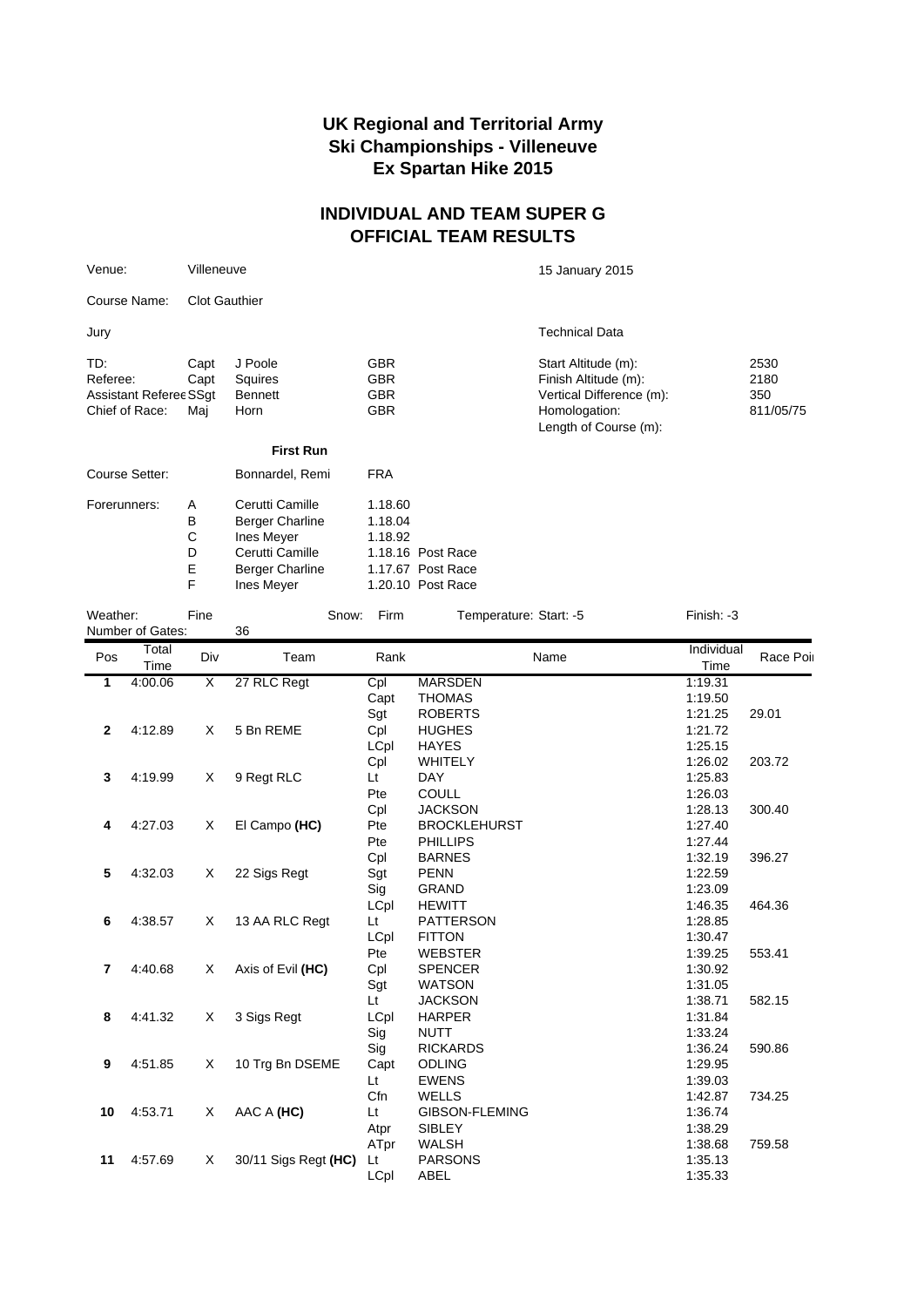## **UK Regional and Territorial Army Ski Championships - Villeneuve Ex Spartan Hike 2015**

## **INDIVIDUAL AND TEAM SUPER G OFFICIAL TEAM RESULTS**

| Venue:                        | Villeneuve |                        |            | 15 January 2015                        |           |  |
|-------------------------------|------------|------------------------|------------|----------------------------------------|-----------|--|
| Course Name:                  |            | <b>Clot Gauthier</b>   |            |                                        |           |  |
| Jury                          |            |                        |            | <b>Technical Data</b>                  |           |  |
| TD:                           | Capt       | J Poole                | <b>GBR</b> | Start Altitude (m):                    | 2530      |  |
| Referee:                      | Capt       | Squires                | <b>GBR</b> | Finish Altitude (m):                   | 2180      |  |
| <b>Assistant Referee SSgt</b> |            | <b>Bennett</b>         | <b>GBR</b> | Vertical Difference (m):               | 350       |  |
| Chief of Race:                | Mai        | Horn                   | <b>GBR</b> | Homologation:<br>Length of Course (m): | 811/05/75 |  |
|                               |            | <b>First Run</b>       |            |                                        |           |  |
| Course Setter:                |            | Bonnardel, Remi        | <b>FRA</b> |                                        |           |  |
| Forerunners:                  | A          | Cerutti Camille        | 1.18.60    |                                        |           |  |
|                               | B          | <b>Berger Charline</b> | 1.18.04    |                                        |           |  |
|                               | C          | Ines Meyer             | 1.18.92    |                                        |           |  |

D Cerutti Camille 1.18.16 Post Race E Berger Charline 1.17.67 Post Race F Ines Meyer 1.20.10 Post Race

| Weather:       | Number of Gates: | Fine | Snow:<br>36          | Firm      | Temperature: Start: -5 | Finish: -3         |           |
|----------------|------------------|------|----------------------|-----------|------------------------|--------------------|-----------|
| Pos            | Total<br>Time    | Div  | Team                 | Rank      | Name                   | Individual<br>Time | Race Poil |
| $\overline{1}$ | 4:00.06          | X    | 27 RLC Regt          | Cpl       | <b>MARSDEN</b>         | 1:19.31            |           |
|                |                  |      |                      | Capt      | <b>THOMAS</b>          | 1:19.50            |           |
|                |                  |      |                      | Sgt       | <b>ROBERTS</b>         | 1:21.25            | 29.01     |
| $\mathbf{2}$   | 4:12.89          | X    | 5 Bn REME            | Cpl       | <b>HUGHES</b>          | 1:21.72            |           |
|                |                  |      |                      | LCpl      | <b>HAYES</b>           | 1:25.15            |           |
|                |                  |      |                      | Cpl       | <b>WHITELY</b>         | 1:26.02            | 203.72    |
| $\mathbf 3$    | 4:19.99          | X    | 9 Regt RLC           | Lt        | <b>DAY</b>             | 1:25.83            |           |
|                |                  |      |                      | Pte       | COULL                  | 1:26.03            |           |
|                |                  |      |                      | Cpl       | <b>JACKSON</b>         | 1:28.13            | 300.40    |
| 4              | 4:27.03          | X    | El Campo (HC)        | Pte       | <b>BROCKLEHURST</b>    | 1:27.40            |           |
|                |                  |      |                      | Pte       | <b>PHILLIPS</b>        | 1:27.44            |           |
|                |                  |      |                      | Cpl       | <b>BARNES</b>          | 1:32.19            | 396.27    |
| 5              | 4:32.03          | Χ    | 22 Sigs Regt         | Sgt       | <b>PENN</b>            | 1:22.59            |           |
|                |                  |      |                      | Sig       | <b>GRAND</b>           | 1:23.09            |           |
|                |                  |      |                      | LCpl      | <b>HEWITT</b>          | 1:46.35            | 464.36    |
| 6              | 4:38.57          | X    | 13 AA RLC Regt       | Lt        | <b>PATTERSON</b>       | 1:28.85            |           |
|                |                  |      |                      | LCpl      | <b>FITTON</b>          | 1:30.47            |           |
|                |                  |      |                      | Pte       | <b>WEBSTER</b>         | 1:39.25            | 553.41    |
| $\overline{7}$ | 4:40.68          | X    | Axis of Evil (HC)    | Cpl       | <b>SPENCER</b>         | 1:30.92            |           |
|                |                  |      |                      | Sgt       | <b>WATSON</b>          | 1:31.05            |           |
|                |                  |      |                      | <b>Lt</b> | <b>JACKSON</b>         | 1:38.71            | 582.15    |
| 8              | 4:41.32          | X    | 3 Sigs Regt          | LCpl      | <b>HARPER</b>          | 1:31.84            |           |
|                |                  |      |                      | Sig       | <b>NUTT</b>            | 1:33.24            |           |
|                |                  |      |                      | Sig       | <b>RICKARDS</b>        | 1:36.24            | 590.86    |
| 9              | 4:51.85          | X    | 10 Trg Bn DSEME      | Capt      | <b>ODLING</b>          | 1:29.95            |           |
|                |                  |      |                      | Lt        | <b>EWENS</b>           | 1:39.03            |           |
|                |                  |      |                      | Cfn       | <b>WELLS</b>           | 1:42.87            | 734.25    |
| 10             | 4:53.71          | X    | AAC A (HC)           | Lt        | GIBSON-FLEMING         | 1:36.74            |           |
|                |                  |      |                      | Atpr      | <b>SIBLEY</b>          | 1:38.29            |           |
|                |                  |      |                      | ATpr      | WALSH                  | 1:38.68            | 759.58    |
| 11             | 4:57.69          | Χ    | 30/11 Sigs Regt (HC) | Lt        | <b>PARSONS</b>         | 1:35.13            |           |
|                |                  |      |                      | LCpl      | ABEL                   | 1:35.33            |           |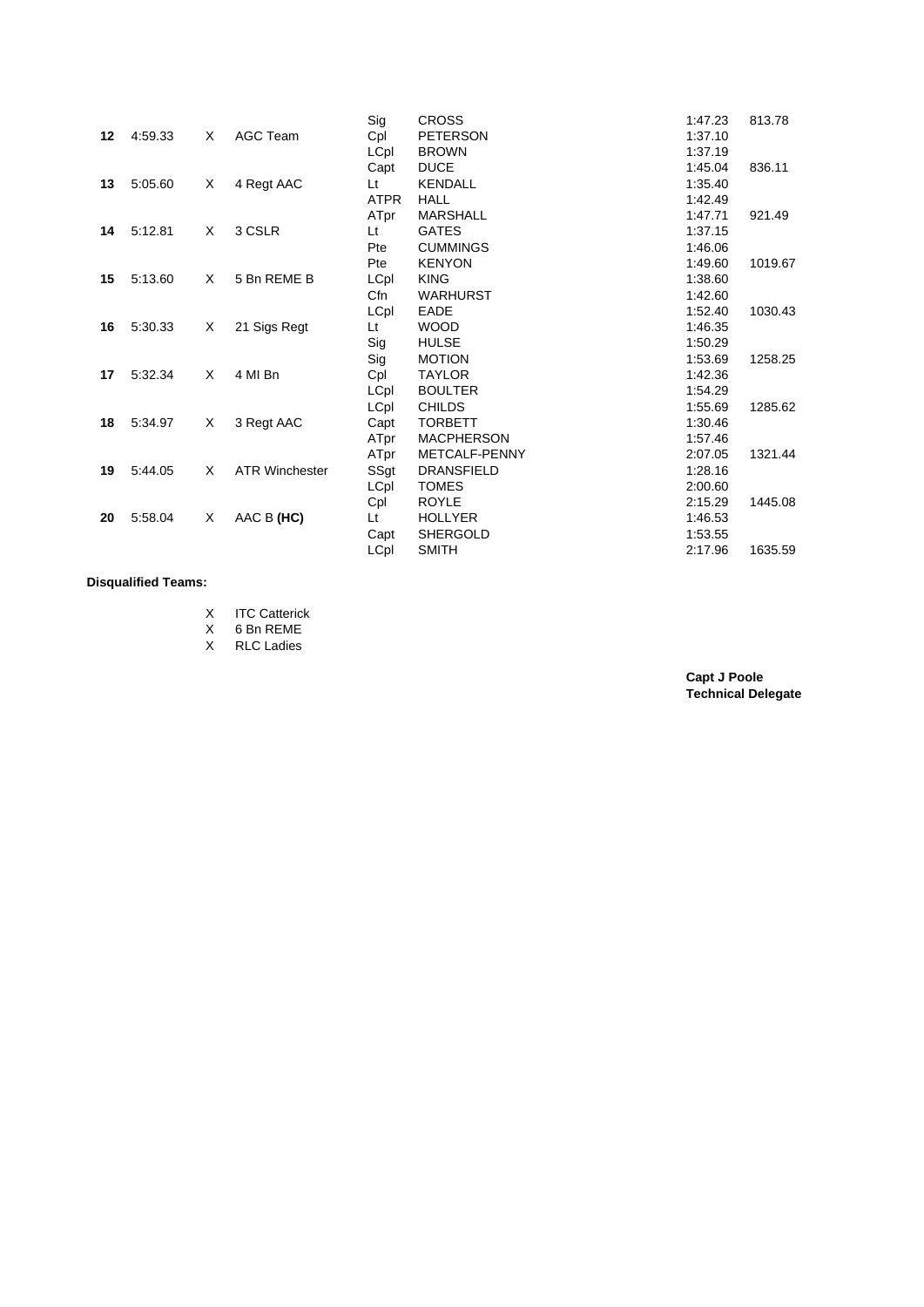|    |         |   |                       | Sig         | <b>CROSS</b>      | 1:47.23 | 813.78  |
|----|---------|---|-----------------------|-------------|-------------------|---------|---------|
| 12 | 4:59.33 | Χ | AGC Team              | Cpl         | <b>PETERSON</b>   | 1:37.10 |         |
|    |         |   |                       | LCpl        | <b>BROWN</b>      | 1:37.19 |         |
|    |         |   |                       | Capt        | <b>DUCE</b>       | 1:45.04 | 836.11  |
| 13 | 5:05.60 | Χ | 4 Regt AAC            | Lt          | <b>KENDALL</b>    | 1:35.40 |         |
|    |         |   |                       | <b>ATPR</b> | <b>HALL</b>       | 1:42.49 |         |
|    |         |   |                       | ATpr        | <b>MARSHALL</b>   | 1:47.71 | 921.49  |
| 14 | 5:12.81 | X | 3 CSLR                | Lt          | <b>GATES</b>      | 1:37.15 |         |
|    |         |   |                       | Pte         | <b>CUMMINGS</b>   | 1:46.06 |         |
|    |         |   |                       | Pte         | <b>KENYON</b>     | 1:49.60 | 1019.67 |
| 15 | 5:13.60 | X | 5 Bn REME B           | LCpl        | <b>KING</b>       | 1:38.60 |         |
|    |         |   |                       | Cfn         | <b>WARHURST</b>   | 1:42.60 |         |
|    |         |   |                       | LCpl        | EADE              | 1:52.40 | 1030.43 |
| 16 | 5:30.33 | X | 21 Sigs Regt          | Lt          | <b>WOOD</b>       | 1:46.35 |         |
|    |         |   |                       | Sig         | <b>HULSE</b>      | 1:50.29 |         |
|    |         |   |                       | Sig         | <b>MOTION</b>     | 1:53.69 | 1258.25 |
| 17 | 5:32.34 | X | 4 MI Bn               | Cpl         | <b>TAYLOR</b>     | 1:42.36 |         |
|    |         |   |                       | LCpl        | <b>BOULTER</b>    | 1:54.29 |         |
|    |         |   |                       | LCpl        | <b>CHILDS</b>     | 1:55.69 | 1285.62 |
| 18 | 5:34.97 | X | 3 Regt AAC            | Capt        | <b>TORBETT</b>    | 1:30.46 |         |
|    |         |   |                       | ATpr        | <b>MACPHERSON</b> | 1:57.46 |         |
|    |         |   |                       | ATpr        | METCALF-PENNY     | 2:07.05 | 1321.44 |
| 19 | 5:44.05 | X | <b>ATR Winchester</b> | SSgt        | <b>DRANSFIELD</b> | 1:28.16 |         |
|    |         |   |                       | LCpl        | <b>TOMES</b>      | 2:00.60 |         |
|    |         |   |                       | Cpl         | <b>ROYLE</b>      | 2:15.29 | 1445.08 |
| 20 | 5:58.04 | X | AAC B (HC)            | Lt          | <b>HOLLYER</b>    | 1:46.53 |         |
|    |         |   |                       | Capt        | <b>SHERGOLD</b>   | 1:53.55 |         |
|    |         |   |                       | LCpl        | <b>SMITH</b>      | 2:17.96 | 1635.59 |
|    |         |   |                       |             |                   |         |         |

## **Disqualified Teams:**

X 6 Bn REME

X RLC Ladies

**Capt J Poole Technical Delegate**